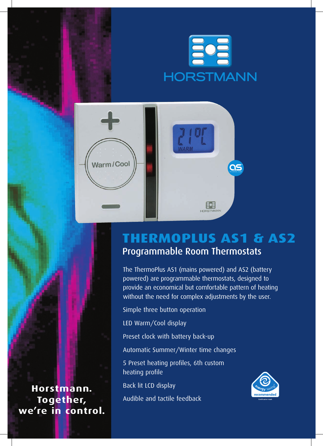



## **ThermoPlus AS1 & AS2** Programmable Room Thermostats

The ThermoPlus AS1 (mains powered) and AS2 (battery powered) are programmable thermostats, designed to provide an economical but comfortable pattern of heating without the need for complex adjustments by the user.

Simple three button operation

LED Warm/Cool display

Preset clock with battery back-up

Automatic Summer/Winter time changes

5 Preset heating profiles, 6th custom heating profile

Back lit LCD display

Audible and tactile feedback



**Horstmann. Together, we're in control.**